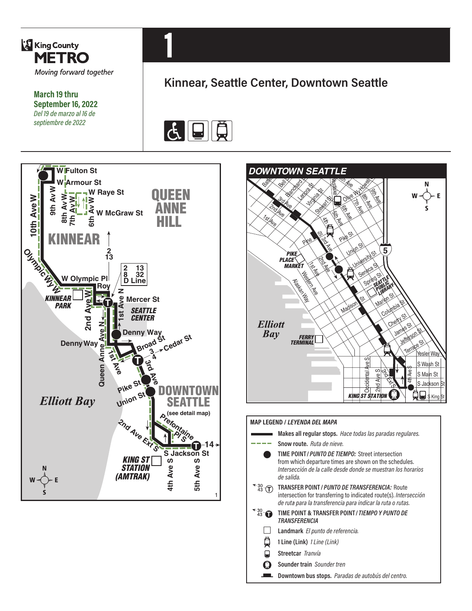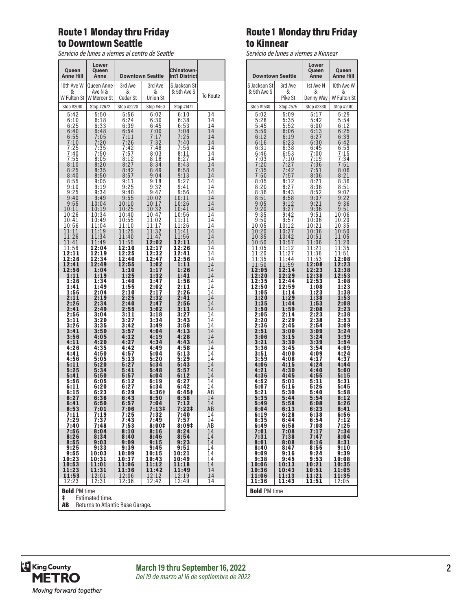## Route 1 Monday thru Friday to Downtown Seattle

*Servicio de lunes a viernes al centro de Seattle*

| Queen<br>Anne Hill       | Lower<br>Queen<br>Anne |               | <b>Downtown Seattle</b> | <b>Chinatown-</b><br><b>Int'l District</b> |          |
|--------------------------|------------------------|---------------|-------------------------|--------------------------------------------|----------|
| 10th Ave W               | Queen Anne             | 3rd Ave       | 3rd Ave                 | S Jackson St                               |          |
| &<br>W Fulton St         | Ave N &<br>W Mercer St | &<br>Cedar St | &<br><b>Union St</b>    | & 5th Ave S                                | To Route |
| Stop #2010               | Stop #2672             | Stop #2220    | Stop #450               | Stop #1471                                 |          |
| 5:42                     | 5:50                   | 5:56          | 6:02                    | 6:10                                       | 14       |
| 6:10                     | 6:18                   | 6:24          | 6:30                    | 6:38                                       | 14       |
| 6:25                     | 6:33                   | 6:39          | 6:45                    |                                            | 14       |
| 6:40                     | 6:48                   | 6:54          | 7:00                    | 6:53<br>7:08                               | 14       |
| 6:55                     | 7:05                   | 7:11          | 7:17                    | 7:25                                       | 14       |
| 7:10                     | 7:20                   | 7:26          | 7:32                    | 7:40                                       | 14       |
| 7:25                     | 7:35                   | 7:42          | 7:48                    | 7:56                                       | 14       |
| 7:40                     | 7:50                   | 7:57          | 8:03                    | 8:11                                       | 14       |
| 7:55                     | 8:05                   | 8:12          | 8:18                    | 8:27                                       | 14       |
| 8:10                     | 8:20                   | 8:27          | 8:34                    | 8:43                                       | 14       |
| 8:25                     | 8:35                   | 8:42          | 8:49                    | 8:58                                       | 14       |
| 8:40                     | 8:50                   | 8:57          | 9:04                    | 9:13                                       | 14       |
| 8:55                     | 9:05                   | 9:11          | 9:18                    | 9:27                                       | 14       |
| 9:10                     | 9:19                   | 9:25          | 9:32                    | 9:41                                       | 14       |
| 9:25                     | 9:34                   | 9:40          | 9:47                    | 9:56                                       | 14       |
| 9:40                     | 9:49                   | 9:55          | 10:02                   | 10:11                                      | 14       |
| 9:55                     | 10:04                  | 10:10         | 10:17                   | 10:26                                      | 14       |
| 10:11                    | 10:19                  | 10:25         | 10:32                   | 10:41                                      | 14       |
| 10:26                    | 10:34                  | 10:40         | 10:47                   | 10:56                                      | 14       |
| 10:41                    | 10:49                  | 10:55         | 11:02                   | 11:11                                      | 14       |
| 10:56                    | 11:04                  | 11:10         | 11:17                   | 11:26                                      | 14       |
| 11:11                    | 11:19                  | 11:25         | 11:32                   | 11:41                                      | 14       |
| 11:26                    | 11:34                  | 11:40         | 11:47                   | 11:56                                      | 14       |
| 11:41                    | 11:49                  | 11:55         | 12:02                   | 12:11                                      | 14       |
| 11:56                    | 12:04                  | 12:10         | 12:17                   | 12:26                                      | 14       |
| 12:11                    | 12:19                  | 12:25         | 12:32                   | 12:41                                      | 14       |
| 12:26                    | 12:34                  | 12:40         | 12:47                   | 12:56                                      | 14       |
| 12:41                    | 12:49                  | 12:55         | 1:02                    | 1:11                                       | 14       |
| 12:56                    | 1:04                   | 1:10          | 1:17                    | 1:26                                       | 14       |
| 1:11                     | 1:19                   | 1:25          | 1:32                    | 1:41                                       | 14       |
| 1:26                     | 1:34                   | 1:40          | 1:47                    | 1:56                                       | 14       |
| 1:41                     | 1:49                   | 1:55          | 2:02                    | 2:11                                       | 14       |
| 1:56                     | 2:04                   | 2:10          | 2:17                    | 2:26                                       | 14       |
| 2:11                     | 2:19                   | 2:25          | 2:32                    | 2:41                                       | 14       |
| 2:26                     | 2:34                   | 2:40          | 2:47                    | 2:56                                       | 14       |
| 2:41                     | 2:49                   | 2:55          | 3:02                    | 3:11                                       | 14       |
| 2:56                     | 3:04                   | 3:11          | 3:18                    | 3:27                                       | 14       |
| 3:11                     | 3:20                   | 3:27          | 3:34                    | 3:43                                       | 14       |
| 3:26                     | 3:35                   | 3:42          | 3:49                    | 3:58                                       | 14       |
| 3:41                     | 3:50                   | 3:57          | 4:04                    | 4:13                                       | 14       |
| 3:56                     | 4:05                   | 4:12          | 4:19                    | 4:28                                       | 14       |
| 4:11                     | 4:20                   | 4:27          | 4:34                    | 4:43                                       | 14       |
| 4:26                     | 4:35                   | 4:42          | 4:49                    | 4:58                                       | 14       |
| 4:41                     | 4:50                   | 4:57          | 5:04                    | 5:13                                       | 14       |
| 4:56                     | 5:05                   | 5:13          | 5:20                    | 5:29                                       | 14       |
| 5:11                     | 5:20                   | 5:27          | 5:34                    | 5:43                                       | 14       |
| 5:25                     | 5:34                   | 5:41          | 5:48                    | 5:57                                       | 14       |
| 5:41                     | 5:50                   | 5:57          | 6:04                    | 6:12                                       | 14       |
| 5:56                     | 6:05                   | 6:12          | 6:19                    | 6:27                                       | 14       |
| 6:11                     | 6:20                   | 6:27          | 6:34                    | 6:42                                       | 14       |
| 6:15                     | 6:23                   | 6:29          | 6:36 <sup>†</sup>       | 6:45‡                                      | AB       |
| 6:27                     | 6:36                   | 6:43          | 6:50                    | 6:58                                       | 14       |
| 6:41                     | 6:50                   | 6:57          | 7:04                    | 7:12                                       | 14       |
| 6:53                     | 7:01                   | 7:06          | 7:13‡                   | 7:22‡                                      | ΑB       |
| 7:11                     | 7:19                   | 7:25          | 7:32                    | 7:40                                       | 14       |
| 7:29                     | 7:37                   | 7:43          | 7:49                    | 7:57                                       | 14       |
| 7:40                     | 7:48                   | 7:53          | 8:00‡                   | 8:09‡                                      | AB       |
| 7:56                     | 8:04                   | 8:10          | 8:16                    | 8:24                                       | 14       |
| 8:26                     | 8:34                   | 8:40          | 8:46                    | 8:54                                       | 14       |
| 8:55                     | 9:03                   | 9:09          | 9:15                    | 9:23                                       | 14       |
| $9:25$<br>$9:55$         | 9:33                   | 9:39          | 9:45                    | 9:51                                       | 14       |
| 10:23                    | 10:03                  | 10:09         | 10:15                   | 10:21                                      | 14       |
|                          | 10:31                  | 10:37         | 10:43                   | 10:49                                      | 14       |
| 10:53                    | 11:01                  | 11:06         | 11:12                   | 11:18                                      | 14       |
| 11:23                    | 11:31                  | 11:36         | 11:42                   | 11:49                                      | 14       |
| 11:53                    | 12:01                  | 12:06         | 12:12                   | 12:19                                      | 14       |
| 12:23                    | 12:31                  | 12:36         | 12:42                   | 12:49                                      | 14       |
| <b>Bold PM time</b><br>ŧ | Estimated time.        |               |                         |                                            |          |

Route 1 Monday thru Friday to Kinnear

*Servicio de lunes a viernes a Kinnear*

|                     | <b>Downtown Seattle</b>       | Lower<br>Queen<br>Anne | Queen<br>Anne Hill |  |
|---------------------|-------------------------------|------------------------|--------------------|--|
| S Jackson St        | 3rd Ave                       | 1st Ave N              | 10th Ave W         |  |
| & 5th Ave S         | &                             | &                      | &                  |  |
|                     | Pike St                       | Denny Way              | W Fulton St        |  |
| Stop #1530          | Stop #575                     | Stop #2330             | Stop #2010         |  |
| 5:02                | 5:09                          | 5:17                   | 5:29<br>5:54       |  |
| 5:28                | 5:35                          | 5:42                   |                    |  |
| 5:45                | 5:52                          | 6:00                   | 6:12<br>6:25       |  |
| 5:59<br>6:12        | 6:06<br>6:19                  | 6:1<br>3<br>6:27       | 6:39               |  |
| 6:16<br>6:31        | $\overline{3}$<br>6:2<br>6:38 | 6:30<br>6:45           | 6:42<br>6:59       |  |
| 6:46                | 6:53                          | 7:00                   | 7:15               |  |
| 7:03                | 7:10                          | 7:19                   | 7:34               |  |
| 7:20                | 7:27                          | 7:36                   | 7:51               |  |
| $7:35$<br>$7:50$    | 7:42                          | 7:51                   | 8:06               |  |
|                     | 7:57                          | 8:06                   | 8:21               |  |
| 8:05                | 8:12                          | 8:21                   | 8:36               |  |
| 8:20                | 8:27                          | 8:36                   | 8:51               |  |
| 8:36                | 8:43                          | 8:52                   | 9:07               |  |
| 8:51                | 8:58                          | 9:07                   | 9:22               |  |
| 9:05                | 9:12                          | 9:21                   | 9:36               |  |
| 9:20                | 9:27                          | 9:36                   | 9:51               |  |
| 9:35                | 9:42                          | 9:51                   | 10:06              |  |
| 9:50                | 9:57                          | 10:06                  | 10:20              |  |
| 10:05               | 10:12                         | 10:21                  | 10:35              |  |
| 10:20               | 10:27                         | 10:36                  | 10:50              |  |
| 10:35<br>10:50      | 10:42<br>10:57                | 10:51<br>1:06<br>1     | 11:05<br>1:20<br>1 |  |
| 11:05<br>11:20      | 11:12<br>11:2<br>7            | 11:21<br>11:36         | 11:35<br>11:51     |  |
| 1:35<br>1           | 11:44                         | 11:53                  | 12:08              |  |
| 11:50<br>12:05      | 11:59<br>2:14<br>ı            | 12:08<br>12:23         | 12:23<br>12:38     |  |
| 12:20               | 12:29                         | 12:38                  | 12:53              |  |
| 12:35               | 12:44                         | 12:53                  | 1:08               |  |
| 12:50               | 12:59                         | 1:08                   | 1:23               |  |
| 1:05                | 1:14                          | 1:23                   | 1:38               |  |
| 1:20                | 1:29                          | 1:38                   | 1:53               |  |
| 1:35                | 1:44                          | 1:53                   | 2:08               |  |
| 1:50                | 1:59                          | 2:08                   | 2:23               |  |
| 2:05                | 2:14                          | 2:23                   | 2:38               |  |
| 2:20                | 2:29                          | 2:38                   | 2:53               |  |
| 2:36                | 2:45                          | 2:54                   | 3:09               |  |
| 2:51                | 3:00                          | 3:09                   | 3:24               |  |
| 3:06<br>3:21        | 3:15                          | 3:24<br>3:39           | 3:39<br>3:54       |  |
| 3:36                | 3:30<br>3:45                  | 3:54                   | 4:09               |  |
| 3:51                | 4:00                          | 4:09                   | 4:24               |  |
| 3:59                | 4:08                          | 4:17                   | 4:37               |  |
| 4:06                | 4:15                          | 4:24                   | 4:44               |  |
| 4:21                | 4:30                          | 4:40                   | 5:00               |  |
| 4:36                | 4:45                          | 4:55                   | 5:15               |  |
| 4:52                | 5:01                          | 5:11                   | 5:31               |  |
| 5:07                | 5:16                          | 5:26                   | 5:45               |  |
| 5:21                | 5:30                          | 5:40                   | 5:58               |  |
| 5:35                | 5:44                          | 5:54                   | 6:12               |  |
| 5:49                | 5:58                          | 6:08                   | 6:26               |  |
| 6:04                | 6:13                          | 6:23                   | 6:41               |  |
| 6:19                | 6:28                          | 6:38                   | 6:56               |  |
| 6:35                | 6:44                          | 6:54                   | 7:12               |  |
| 6:49                | 6:58                          | 7:08                   | 7:25               |  |
| 7:01                | 7:08                          | 7:17                   | 7:34               |  |
| 7:31                | 7:38                          | 7:47                   | 8:04               |  |
| 8:01                | 8:08                          | 8:16                   | 8:31               |  |
| 8:40                | 8:47                          | 8:55<br>9:24           | 9:10               |  |
| 9:09                | 9:16                          |                        | 9:39               |  |
| 9:38                | 9:45                          | $9:53$<br>10:21        | 10:08              |  |
| 10:06               | 10:13                         |                        | 10:35              |  |
| 10:36               | 10:43                         | 10:51                  | 11:05              |  |
| 11:06               | 11:13                         | 11:21                  | 11:35              |  |
| 11:36               | 11:43                         | 11:51                  | 12:05              |  |
| <b>Bold</b> PM time |                               |                        |                    |  |

**AB** Returns to Atlantic Base Garage.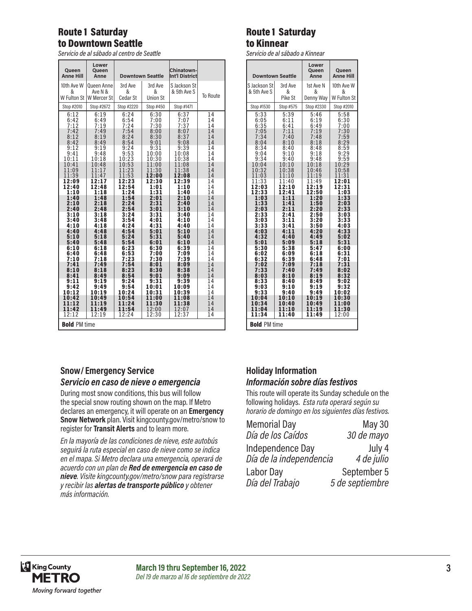# Route 1 Saturday to Downtown Seattle

*Servicio de al sábado al centro de Seattle*

| Queen<br><b>Anne Hill</b>                                              | Lower<br>Queen<br>Anne                           |                              | <b>Downtown Seattle</b>         | Chinatown-<br>Int'l District     |                      |
|------------------------------------------------------------------------|--------------------------------------------------|------------------------------|---------------------------------|----------------------------------|----------------------|
| 10th Ave W<br>&                                                        | Queen Anne<br>Ave N &<br>W Fulton St W Mercer St | 3rd Ave<br>&<br>Cedar St     | 3rd Ave<br>&<br><b>Union St</b> | S Jackson St<br>& 5th Ave S      | To Route             |
| Stop #2010                                                             | Stop #2672                                       | Stop #2220                   | Stop #450                       | Stop #1471                       |                      |
| 6:12<br>6:42<br>7:12<br>7:42                                           | 6:19<br>6:49<br>7:19<br>7:49                     | 6:24<br>6:54<br>7:24<br>7:54 | 6:30<br>7:00<br>7:30<br>8:00    | 6:37<br>$7:07$<br>$7:37$<br>8:07 | 14<br>14<br>14<br>14 |
| 8:12                                                                   | 8:19                                             | 8:24                         | 8:30                            | 8:37                             | 14                   |
| 8:42                                                                   | 8:49                                             | 8:54                         | 9:01                            | 9:08                             | 14                   |
| 9:12                                                                   | 9:19                                             | 9:24                         | 9:31                            | 9:39                             | 14                   |
| 9:41                                                                   | 9:48                                             | 9:53                         | 10:00                           | 10:08                            | 14                   |
| 10:11                                                                  | 10:18                                            | 10:23                        | 10:30                           | 10:38                            | 14                   |
| 10:41                                                                  | 10:48                                            | 10:53                        | 11:00                           | 11:08                            | 14                   |
| 11:09                                                                  | 11:17                                            | 11:23                        | 11:30                           | 11:38                            | 14                   |
| 11:39                                                                  | 11:47                                            | 11:53                        | 12:00                           | 12:08                            | 14                   |
| 12:09                                                                  | 12:17                                            | 12:23                        | 12:30                           | 12:39                            | 14                   |
| 12:40                                                                  | 12:48                                            | 12:54                        | 1:01                            | 1:10                             | 14                   |
| 1:10                                                                   | 1:18                                             | 1:24                         | 1:31                            | 1:40                             | 14                   |
| 1:40                                                                   | 1:48                                             | 1:54                         | 2:01                            | 2:10                             | 14                   |
| 2:10                                                                   | 2:18                                             | 2:24                         | 2:31                            | 2:40                             | 14                   |
| 2:40                                                                   | 2:48                                             | 2:54                         | 3:01                            | 3:10                             | 14                   |
| 3:10                                                                   | 3:18                                             | 3:24                         | 3:31                            | 3:40                             | 14                   |
| 3:40                                                                   | 3:48                                             | 3:54                         | 4:01                            | 4:10                             | 14                   |
| 4:10                                                                   | 4:18                                             | 4:24                         | 4:31                            | 4:40                             | 14                   |
| 4:40                                                                   | 4:48                                             | 4:54                         | 5:01                            | 5:10                             | 14                   |
| 5:10                                                                   | 5:18                                             | 5:24                         | 5:31                            | 5:40                             | 14                   |
| 5:40                                                                   | 5:48                                             | 5:54                         | 6:01                            | 6:10                             | 14                   |
| 6:10                                                                   | 6:18                                             | 6:23                         | 6:30                            | 6:39                             | 14                   |
| 6:40                                                                   | 6:48                                             | 6:53                         | 7:00                            | 7:09                             | 14                   |
| 7:10                                                                   | 7:18                                             | 7:23                         | 7:30                            | 7:39                             | 14                   |
| 7:41                                                                   | 7:49                                             | 7:54                         | 8:01                            | 8:09                             | 14                   |
| 8:10                                                                   | 8:18                                             | 8:23                         | 8:30                            | 8:38                             | 14                   |
| 8:41                                                                   | 8:49                                             | 8:54                         | 9:01                            | 9:09                             | 14                   |
| 9:11                                                                   | 9:19                                             | 9:24                         | 9:31                            | 9:39                             | 14                   |
| 9:42                                                                   | 9:49                                             | 9:54                         | 10:01                           | 10:09                            | 14                   |
| 10:12                                                                  | 10:19                                            | 10:24                        | 10:31                           | 10:39                            | 14                   |
| 10:42                                                                  | 10:49                                            | 10:54                        | 11:00                           | 11:08                            | 14                   |
| 11:12                                                                  | 11:19                                            | 11:24                        | 11:30                           | 11:38                            | 14                   |
| 11:42                                                                  | 11:49                                            | 11:54                        | 12:00                           | 12:07                            | 14                   |
| 12:19<br>12:24<br>12:30<br>12:37<br>14<br>12:12<br><b>Bold PM time</b> |                                                  |                              |                                 |                                  |                      |

## **Snow/ Emergency Service**

### *Servicio en caso de nieve o emergencia*

During most snow conditions, this bus will follow the special snow routing shown on the map. If Metro declares an emergency, it will operate on an **Emergency Snow Network** plan. Visit kingcounty.gov/metro/snow to register for **Transit Alerts** and to learn more.

*En la mayoría de las condiciones de nieve, este autobús seguirá la ruta especial en caso de nieve como se indica en el mapa. Si Metro declara una emergencia, operará de acuerdo con un plan de Red de emergencia en caso de nieve. Visite kingcounty.gov/metro/snow para registrarse y recibir las alertas de transporte público y obtener más información.*

## Route 1 Saturday to Kinnear

*Servicio de al sábado a Kinnear*

|                             | <b>Downtown Seattle</b> | Lower<br>Queen<br>Anne      | Queen<br><b>Anne Hill</b>      |  |
|-----------------------------|-------------------------|-----------------------------|--------------------------------|--|
| S Jackson St<br>& 5th Ave S | 3rd Ave<br>&<br>Pike St | 1st Ave N<br>&<br>Denny Way | 10th Ave W<br>&<br>W Fulton St |  |
| Stop #1530                  | Stop #575               | Stop #2330                  | Stop #2010                     |  |
| 5:33                        | 5:39                    | 5:46                        | 5:58                           |  |
| 6:05                        | 6:11                    | 6:19                        | 6:30                           |  |
| 6:35                        | 6:41                    | 6:49                        | 7:00                           |  |
| 7:05                        | 7:11                    | 7:19                        | 7:30                           |  |
| 7:34                        | 7:40                    | 7:48                        | 7:59                           |  |
| 8:04                        | 8:10                    | 8:18                        | 8:29                           |  |
| 8:34                        | 8:40                    | 8:48                        | 8:59                           |  |
| 9:04                        | 9:10                    | 9:18                        | 9:29                           |  |
| 9:34                        | 9:40                    | 9:48                        | 9:59                           |  |
| 10:04                       | 10:10                   | 10:18                       | 10:29                          |  |
| 10:32                       | 10:38                   | 10:46                       | 10:58                          |  |
| 11:03                       | 11:10                   | 11:19                       | 11:31                          |  |
| 11:33                       | 11:40                   | 11:49                       | 12:01                          |  |
| 12:03                       | 12:10                   | 12:19                       | 12:31                          |  |
| 12:33                       | 12:41                   | 12:50                       | 1:03                           |  |
| 1:03                        | 1:11                    | 1:20                        | 1:33                           |  |
| 1:33                        | 1:41                    | 1:50                        | 2:03                           |  |
| 2:03                        | 2:11                    | 2:20                        | 2:33                           |  |
| 2:33                        | 2:41                    | 2:50                        | 3:03                           |  |
| 3:03                        | 3:11                    | 3:20                        | 3:33                           |  |
| 3:33                        | 3:41                    | 3:50                        | 4:03                           |  |
| 4:03                        | 4:11                    | 4:20                        | 4:33                           |  |
| 4:32                        | 4:40                    | 4:49                        | 5:02                           |  |
| 5:01                        | 5:09                    | 5:18                        | 5:31                           |  |
| 5:30                        | 5:38                    | 5:47                        | 6:00                           |  |
| 6:02                        | 6:09                    | 6:18                        | 6:31                           |  |
| 6:32                        | 6:39                    | 6:48                        | 7:01                           |  |
| 7:02                        | 7:09                    | 7:18                        | 7:31                           |  |
| 7:33                        | 7:40                    | 7:49                        | 8:02                           |  |
| 8:03                        | 8:10                    | 8:19                        | 8:32                           |  |
| 8:33                        | 8:40                    | 8:49                        | 9:02                           |  |
| 9:03                        | 9:10                    | 9:19                        | 9:32                           |  |
| 9:33                        | 9:40                    | 9:49                        | 10:02                          |  |
| 10:04                       | 10:10                   | 10:19                       | 10:30                          |  |
| 10:34                       | 10:40                   | 10:49                       | 11:00                          |  |
| 11:04                       | 11:10                   | 11:19                       | 11:30                          |  |
| 11:34                       | 11:40                   | 11:49                       | 12:00                          |  |
| <b>Bold PM time</b>         |                         |                             |                                |  |

## **Holiday Information** *Información sobre días festivos*

This route will operate its Sunday schedule on the following holidays. *Esta ruta operará según su horario de domingo en los siguientes días festivos.*

| <b>Memorial Day</b>                         | <b>May 30</b>        |
|---------------------------------------------|----------------------|
| Día de los Caídos                           | 30 de mayo           |
| Independence Day<br>Día de la independencia | July 4<br>4 de julio |
| Labor Day                                   | September 5          |
| Día del Trabajo                             | 5 de septiembre      |